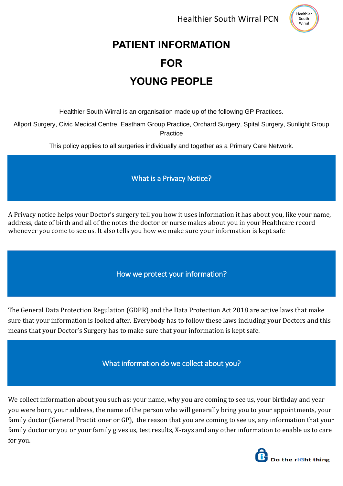Healthier South Wirral PCN



# **PATIENT INFORMATION FOR YOUNG PEOPLE**

Healthier South Wirral is an organisation made up of the following GP Practices.

Allport Surgery, Civic Medical Centre, Eastham Group Practice, Orchard Surgery, Spital Surgery, Sunlight Group **Practice** 

This policy applies to all surgeries individually and together as a Primary Care Network.

What is a Privacy Notice?

A Privacy notice helps your Doctor's surgery tell you how it uses information it has about you, like your name, address, date of birth and all of the notes the doctor or nurse makes about you in your Healthcare record whenever you come to see us. It also tells you how we make sure your information is kept safe

How we protect your information?

The General Data Protection Regulation (GDPR) and the Data Protection Act 2018 are active laws that make sure that your information is looked after. Everybody has to follow these laws including your Doctors and this means that your Doctor's Surgery has to make sure that your information is kept safe.

What information do we collect about you?

We collect information about you such as: your name, why you are coming to see us, your birthday and year you were born, your address, the name of the person who will generally bring you to your appointments, your family doctor (General Practitioner or GP), the reason that you are coming to see us, any information that your family doctor or you or your family gives us, test results, X-rays and any other information to enable us to care for you.

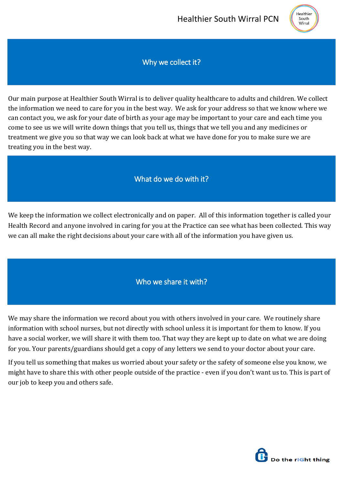

Why we collect it?

Our main purpose at Healthier South Wirral is to deliver quality healthcare to adults and children. We collect the information we need to care for you in the best way. We ask for your address so that we know where we can contact you, we ask for your date of birth as your age may be important to your care and each time you come to see us we will write down things that you tell us, things that we tell you and any medicines or treatment we give you so that way we can look back at what we have done for you to make sure we are treating you in the best way.

#### What do we do with it?

We keep the information we collect electronically and on paper. All of this information together is called your Health Record and anyone involved in caring for you at the Practice can see what has been collected. This way we can all make the right decisions about your care with all of the information you have given us.

### Who we share it with?

We may share the information we record about you with others involved in your care. We routinely share information with school nurses, but not directly with school unless it is important for them to know. If you have a social worker, we will share it with them too. That way they are kept up to date on what we are doing for you. Your parents/guardians should get a copy of any letters we send to your doctor about your care.

If you tell us something that makes us worried about your safety or the safety of someone else you know, we might have to share this with other people outside of the practice - even if you don't want us to. This is part of our job to keep you and others safe.

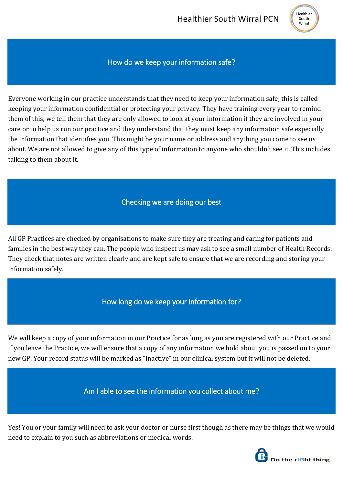

#### How do we keep your information safe?

Everyone working in our practice understands that they need to keep your information safe; this is called keeping your information confidential or protecting your privacy. They have training every year to remind them of this, we tell them that they are only allowed to look at your information if they are involved in your care or to help us run our practice and they understand that they must keep any information safe especially the information that identifies you. This might be your name or address and anything you come to see us about. We are not allowed to give any of this type of information to anyone who shouldn't see it. This includes talking to them about it.

#### Checking we are doing our best

All GP Practices are checked by organisations to make sure they are treating and caring for patients and families in the best way they can. The people who inspect us may ask to see a small number of Health Records. They check that notes are written clearly and are kept safe to ensure that we are recording and storing your information safely.

#### How long do we keep your information for?

We will keep a copy of your information in our Practice for as long as you are registered with our Practice and if you leave the Practice, we will ensure that a copy of any information we hold about you is passed on to your new GP. Your record status will be marked as "inactive" in our clinical system but it will not be deleted.

Am I able to see the information you collect about me?

Yes! You or your family will need to ask your doctor or nurse first though as there may be things that we would need to explain to you such as abbreviations or medical words.

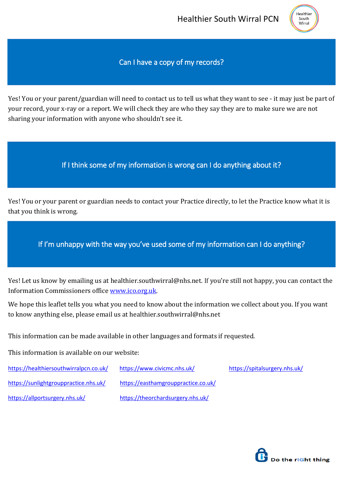

#### Can I have a copy of my records?

Yes! You or your parent/guardian will need to contact us to tell us what they want to see - it may just be part of your record, your x-ray or a report. We will check they are who they say they are to make sure we are not sharing your information with anyone who shouldn't see it.

#### If I think some of my information is wrong can I do anything about it?

Yes! You or your parent or guardian needs to contact your Practice directly, to let the Practice know what it is that you think is wrong.

If I'm unhappy with the way you've used some of my information can I do anything?

Yes! Let us know by emailing us at healthier.southwirral@nhs.net. If you're still not happy, you can contact the Information Commissioners office [www.ico.org.uk.](http://www.ico.org.uk/)

We hope this leaflet tells you what you need to know about the information we collect about you. If you want to know anything else, please email us at healthier.southwirral@nhs.net

This information can be made available in other languages and formats if requested.

This information is available on our website:

| https://healthiersouthwirralpcn.co.uk/ | https://www.civicmc.nhs.uk/         | https://spitalsurgery.nhs.uk/ |
|----------------------------------------|-------------------------------------|-------------------------------|
| https://sunlightgrouppractice.nhs.uk/  | https://easthamgrouppractice.co.uk/ |                               |
| https://allportsurgery.nhs.uk/         | https://theorchardsurgery.nhs.uk/   |                               |